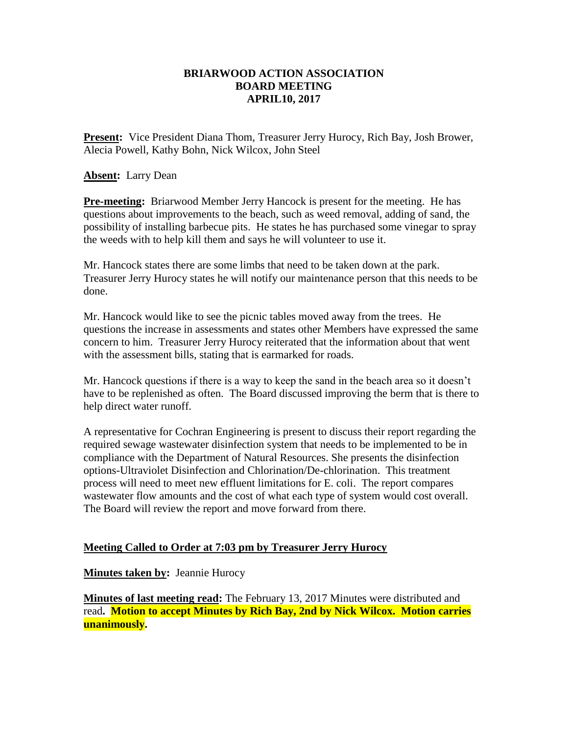## **BRIARWOOD ACTION ASSOCIATION BOARD MEETING APRIL10, 2017**

**Present:** Vice President Diana Thom, Treasurer Jerry Hurocy, Rich Bay, Josh Brower, Alecia Powell, Kathy Bohn, Nick Wilcox, John Steel

**Absent:** Larry Dean

**Pre-meeting:** Briarwood Member Jerry Hancock is present for the meeting. He has questions about improvements to the beach, such as weed removal, adding of sand, the possibility of installing barbecue pits. He states he has purchased some vinegar to spray the weeds with to help kill them and says he will volunteer to use it.

Mr. Hancock states there are some limbs that need to be taken down at the park. Treasurer Jerry Hurocy states he will notify our maintenance person that this needs to be done.

Mr. Hancock would like to see the picnic tables moved away from the trees. He questions the increase in assessments and states other Members have expressed the same concern to him. Treasurer Jerry Hurocy reiterated that the information about that went with the assessment bills, stating that is earmarked for roads.

Mr. Hancock questions if there is a way to keep the sand in the beach area so it doesn't have to be replenished as often. The Board discussed improving the berm that is there to help direct water runoff.

A representative for Cochran Engineering is present to discuss their report regarding the required sewage wastewater disinfection system that needs to be implemented to be in compliance with the Department of Natural Resources. She presents the disinfection options-Ultraviolet Disinfection and Chlorination/De-chlorination. This treatment process will need to meet new effluent limitations for E. coli. The report compares wastewater flow amounts and the cost of what each type of system would cost overall. The Board will review the report and move forward from there.

## **Meeting Called to Order at 7:03 pm by Treasurer Jerry Hurocy**

**Minutes taken by:** Jeannie Hurocy

**Minutes of last meeting read:** The February 13, 2017 Minutes were distributed and read**. Motion to accept Minutes by Rich Bay, 2nd by Nick Wilcox. Motion carries unanimously.**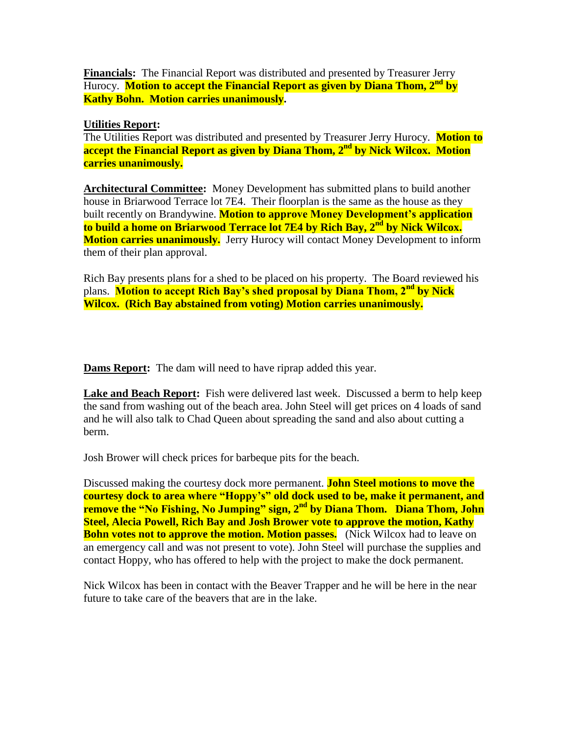**Financials:** The Financial Report was distributed and presented by Treasurer Jerry Hurocy. **Motion to accept the Financial Report as given by Diana Thom, 2nd by Kathy Bohn. Motion carries unanimously.**

## **Utilities Report:**

The Utilities Report was distributed and presented by Treasurer Jerry Hurocy. **Motion to accept the Financial Report as given by Diana Thom, 2nd by Nick Wilcox. Motion carries unanimously.**

**Architectural Committee:** Money Development has submitted plans to build another house in Briarwood Terrace lot 7E4. Their floorplan is the same as the house as they built recently on Brandywine. **Motion to approve Money Development's application to build a home on Briarwood Terrace lot 7E4 by Rich Bay, 2nd by Nick Wilcox. Motion carries unanimously.** Jerry Hurocy will contact Money Development to inform them of their plan approval.

Rich Bay presents plans for a shed to be placed on his property. The Board reviewed his plans. **Motion to accept Rich Bay's shed proposal by Diana Thom, 2nd by Nick Wilcox. (Rich Bay abstained from voting) Motion carries unanimously.**

**Dams Report:** The dam will need to have riprap added this year.

Lake and Beach Report: Fish were delivered last week. Discussed a berm to help keep the sand from washing out of the beach area. John Steel will get prices on 4 loads of sand and he will also talk to Chad Queen about spreading the sand and also about cutting a berm.

Josh Brower will check prices for barbeque pits for the beach.

Discussed making the courtesy dock more permanent. **John Steel motions to move the courtesy dock to area where "Hoppy's" old dock used to be, make it permanent, and remove the "No Fishing, No Jumping" sign, 2<sup>nd</sup> by Diana Thom. Diana Thom, John Steel, Alecia Powell, Rich Bay and Josh Brower vote to approve the motion, Kathy Bohn votes not to approve the motion. Motion passes.** (Nick Wilcox had to leave on an emergency call and was not present to vote). John Steel will purchase the supplies and contact Hoppy, who has offered to help with the project to make the dock permanent.

Nick Wilcox has been in contact with the Beaver Trapper and he will be here in the near future to take care of the beavers that are in the lake.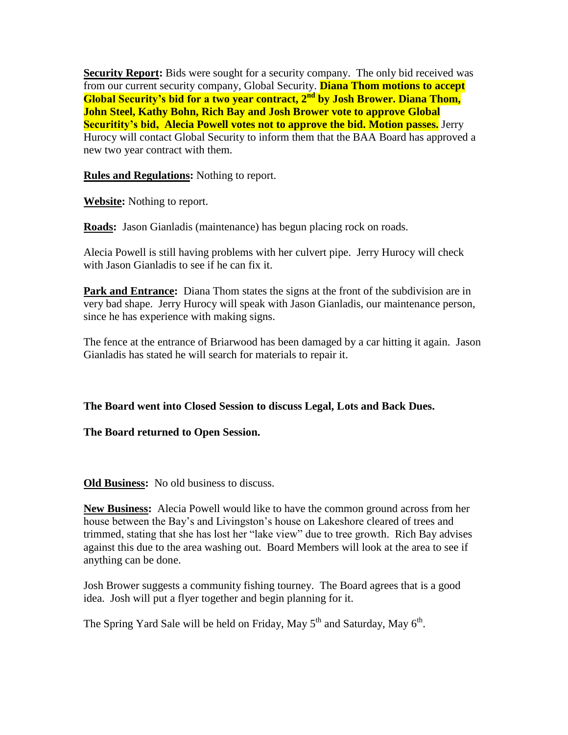**Security Report:** Bids were sought for a security company. The only bid received was from our current security company, Global Security. **Diana Thom motions to accept Global Security's bid for a two year contract, 2nd by Josh Brower. Diana Thom, John Steel, Kathy Bohn, Rich Bay and Josh Brower vote to approve Global Securitity's bid, Alecia Powell votes not to approve the bid. Motion passes.** Jerry Hurocy will contact Global Security to inform them that the BAA Board has approved a new two year contract with them.

**Rules and Regulations:** Nothing to report.

**Website:** Nothing to report.

**Roads:** Jason Gianladis (maintenance) has begun placing rock on roads.

Alecia Powell is still having problems with her culvert pipe. Jerry Hurocy will check with Jason Gianladis to see if he can fix it.

**Park and Entrance:** Diana Thom states the signs at the front of the subdivision are in very bad shape. Jerry Hurocy will speak with Jason Gianladis, our maintenance person, since he has experience with making signs.

The fence at the entrance of Briarwood has been damaged by a car hitting it again. Jason Gianladis has stated he will search for materials to repair it.

**The Board went into Closed Session to discuss Legal, Lots and Back Dues.**

## **The Board returned to Open Session.**

**Old Business:** No old business to discuss.

**New Business:** Alecia Powell would like to have the common ground across from her house between the Bay's and Livingston's house on Lakeshore cleared of trees and trimmed, stating that she has lost her "lake view" due to tree growth. Rich Bay advises against this due to the area washing out. Board Members will look at the area to see if anything can be done.

Josh Brower suggests a community fishing tourney. The Board agrees that is a good idea. Josh will put a flyer together and begin planning for it.

The Spring Yard Sale will be held on Friday, May  $5^{th}$  and Saturday, May  $6^{th}$ .